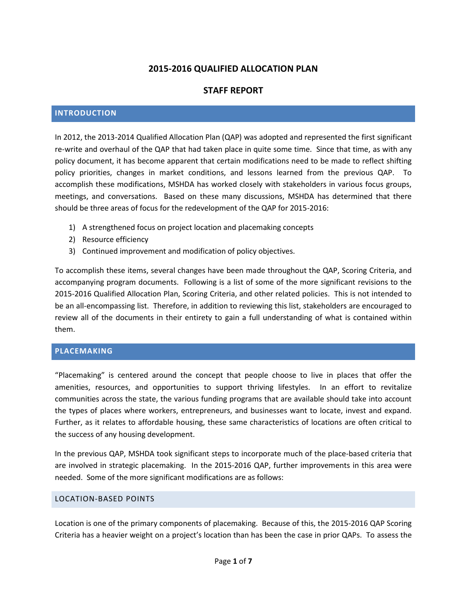# **2015-2016 QUALIFIED ALLOCATION PLAN**

# **STAFF REPORT**

### **INTRODUCTION**

In 2012, the 2013-2014 Qualified Allocation Plan (QAP) was adopted and represented the first significant re-write and overhaul of the QAP that had taken place in quite some time. Since that time, as with any policy document, it has become apparent that certain modifications need to be made to reflect shifting policy priorities, changes in market conditions, and lessons learned from the previous QAP. To accomplish these modifications, MSHDA has worked closely with stakeholders in various focus groups, meetings, and conversations. Based on these many discussions, MSHDA has determined that there should be three areas of focus for the redevelopment of the QAP for 2015-2016:

- 1) A strengthened focus on project location and placemaking concepts
- 2) Resource efficiency
- 3) Continued improvement and modification of policy objectives.

To accomplish these items, several changes have been made throughout the QAP, Scoring Criteria, and accompanying program documents. Following is a list of some of the more significant revisions to the 2015-2016 Qualified Allocation Plan, Scoring Criteria, and other related policies. This is not intended to be an all-encompassing list. Therefore, in addition to reviewing this list, stakeholders are encouraged to review all of the documents in their entirety to gain a full understanding of what is contained within them.

#### **PLACEMAKING**

"Placemaking" is centered around the concept that people choose to live in places that offer the amenities, resources, and opportunities to support thriving lifestyles. In an effort to revitalize communities across the state, the various funding programs that are available should take into account the types of places where workers, entrepreneurs, and businesses want to locate, invest and expand. Further, as it relates to affordable housing, these same characteristics of locations are often critical to the success of any housing development.

In the previous QAP, MSHDA took significant steps to incorporate much of the place-based criteria that are involved in strategic placemaking. In the 2015-2016 QAP, further improvements in this area were needed. Some of the more significant modifications are as follows:

#### LOCATION-BASED POINTS

Location is one of the primary components of placemaking. Because of this, the 2015-2016 QAP Scoring Criteria has a heavier weight on a project's location than has been the case in prior QAPs. To assess the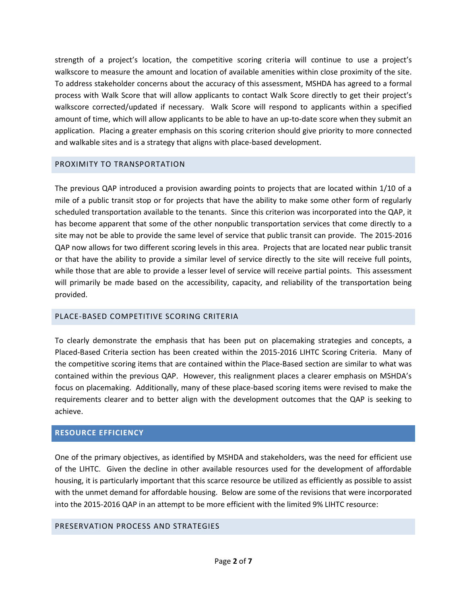strength of a project's location, the competitive scoring criteria will continue to use a project's walkscore to measure the amount and location of available amenities within close proximity of the site. To address stakeholder concerns about the accuracy of this assessment, MSHDA has agreed to a formal process with Walk Score that will allow applicants to contact Walk Score directly to get their project's walkscore corrected/updated if necessary. Walk Score will respond to applicants within a specified amount of time, which will allow applicants to be able to have an up-to-date score when they submit an application. Placing a greater emphasis on this scoring criterion should give priority to more connected and walkable sites and is a strategy that aligns with place-based development.

### PROXIMITY TO TRANSPORTATION

The previous QAP introduced a provision awarding points to projects that are located within 1/10 of a mile of a public transit stop or for projects that have the ability to make some other form of regularly scheduled transportation available to the tenants. Since this criterion was incorporated into the QAP, it has become apparent that some of the other nonpublic transportation services that come directly to a site may not be able to provide the same level of service that public transit can provide. The 2015-2016 QAP now allows for two different scoring levels in this area. Projects that are located near public transit or that have the ability to provide a similar level of service directly to the site will receive full points, while those that are able to provide a lesser level of service will receive partial points. This assessment will primarily be made based on the accessibility, capacity, and reliability of the transportation being provided.

## PLACE-BASED COMPETITIVE SCORING CRITERIA

To clearly demonstrate the emphasis that has been put on placemaking strategies and concepts, a Placed-Based Criteria section has been created within the 2015-2016 LIHTC Scoring Criteria. Many of the competitive scoring items that are contained within the Place-Based section are similar to what was contained within the previous QAP. However, this realignment places a clearer emphasis on MSHDA's focus on placemaking. Additionally, many of these place-based scoring items were revised to make the requirements clearer and to better align with the development outcomes that the QAP is seeking to achieve.

#### **RESOURCE EFFICIENCY**

One of the primary objectives, as identified by MSHDA and stakeholders, was the need for efficient use of the LIHTC. Given the decline in other available resources used for the development of affordable housing, it is particularly important that this scarce resource be utilized as efficiently as possible to assist with the unmet demand for affordable housing. Below are some of the revisions that were incorporated into the 2015-2016 QAP in an attempt to be more efficient with the limited 9% LIHTC resource:

## PRESERVATION PROCESS AND STRATEGIES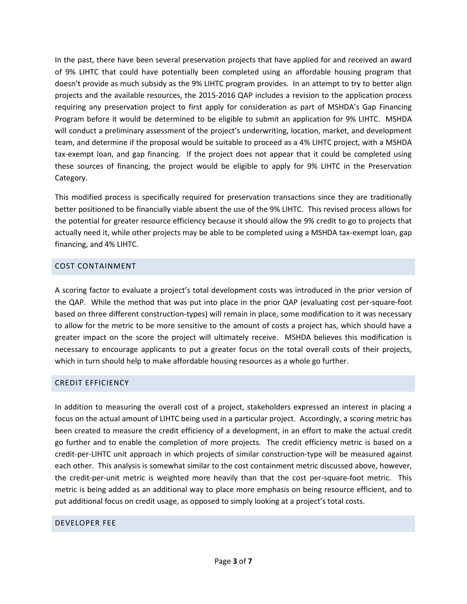In the past, there have been several preservation projects that have applied for and received an award of 9% LIHTC that could have potentially been completed using an affordable housing program that doesn't provide as much subsidy as the 9% LIHTC program provides. In an attempt to try to better align projects and the available resources, the 2015-2016 QAP includes a revision to the application process requiring any preservation project to first apply for consideration as part of MSHDA's Gap Financing Program before it would be determined to be eligible to submit an application for 9% LIHTC. MSHDA will conduct a preliminary assessment of the project's underwriting, location, market, and development team, and determine if the proposal would be suitable to proceed as a 4% LIHTC project, with a MSHDA tax-exempt loan, and gap financing. If the project does not appear that it could be completed using these sources of financing, the project would be eligible to apply for 9% LIHTC in the Preservation Category.

This modified process is specifically required for preservation transactions since they are traditionally better positioned to be financially viable absent the use of the 9% LIHTC. This revised process allows for the potential for greater resource efficiency because it should allow the 9% credit to go to projects that actually need it, while other projects may be able to be completed using a MSHDA tax-exempt loan, gap financing, and 4% LIHTC.

## COST CONTAINMENT

A scoring factor to evaluate a project's total development costs was introduced in the prior version of the QAP. While the method that was put into place in the prior QAP (evaluating cost per-square-foot based on three different construction-types) will remain in place, some modification to it was necessary to allow for the metric to be more sensitive to the amount of costs a project has, which should have a greater impact on the score the project will ultimately receive. MSHDA believes this modification is necessary to encourage applicants to put a greater focus on the total overall costs of their projects, which in turn should help to make affordable housing resources as a whole go further.

## CREDIT EFFICIENCY

In addition to measuring the overall cost of a project, stakeholders expressed an interest in placing a focus on the actual amount of LIHTC being used in a particular project. Accordingly, a scoring metric has been created to measure the credit efficiency of a development, in an effort to make the actual credit go further and to enable the completion of more projects. The credit efficiency metric is based on a credit-per-LIHTC unit approach in which projects of similar construction-type will be measured against each other. This analysis is somewhat similar to the cost containment metric discussed above, however, the credit-per-unit metric is weighted more heavily than that the cost per-square-foot metric. This metric is being added as an additional way to place more emphasis on being resource efficient, and to put additional focus on credit usage, as opposed to simply looking at a project's total costs.

#### DEVELOPER FEE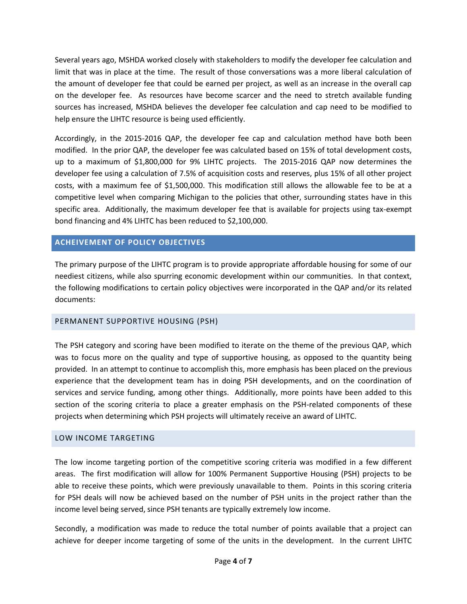Several years ago, MSHDA worked closely with stakeholders to modify the developer fee calculation and limit that was in place at the time. The result of those conversations was a more liberal calculation of the amount of developer fee that could be earned per project, as well as an increase in the overall cap on the developer fee. As resources have become scarcer and the need to stretch available funding sources has increased, MSHDA believes the developer fee calculation and cap need to be modified to help ensure the LIHTC resource is being used efficiently.

Accordingly, in the 2015-2016 QAP, the developer fee cap and calculation method have both been modified. In the prior QAP, the developer fee was calculated based on 15% of total development costs, up to a maximum of \$1,800,000 for 9% LIHTC projects. The 2015-2016 QAP now determines the developer fee using a calculation of 7.5% of acquisition costs and reserves, plus 15% of all other project costs, with a maximum fee of \$1,500,000. This modification still allows the allowable fee to be at a competitive level when comparing Michigan to the policies that other, surrounding states have in this specific area. Additionally, the maximum developer fee that is available for projects using tax-exempt bond financing and 4% LIHTC has been reduced to \$2,100,000.

## **ACHEIVEMENT OF POLICY OBJECTIVES**

The primary purpose of the LIHTC program is to provide appropriate affordable housing for some of our neediest citizens, while also spurring economic development within our communities. In that context, the following modifications to certain policy objectives were incorporated in the QAP and/or its related documents:

## PERMANENT SUPPORTIVE HOUSING (PSH)

The PSH category and scoring have been modified to iterate on the theme of the previous QAP, which was to focus more on the quality and type of supportive housing, as opposed to the quantity being provided. In an attempt to continue to accomplish this, more emphasis has been placed on the previous experience that the development team has in doing PSH developments, and on the coordination of services and service funding, among other things. Additionally, more points have been added to this section of the scoring criteria to place a greater emphasis on the PSH-related components of these projects when determining which PSH projects will ultimately receive an award of LIHTC.

## LOW INCOME TARGETING

The low income targeting portion of the competitive scoring criteria was modified in a few different areas. The first modification will allow for 100% Permanent Supportive Housing (PSH) projects to be able to receive these points, which were previously unavailable to them. Points in this scoring criteria for PSH deals will now be achieved based on the number of PSH units in the project rather than the income level being served, since PSH tenants are typically extremely low income.

Secondly, a modification was made to reduce the total number of points available that a project can achieve for deeper income targeting of some of the units in the development. In the current LIHTC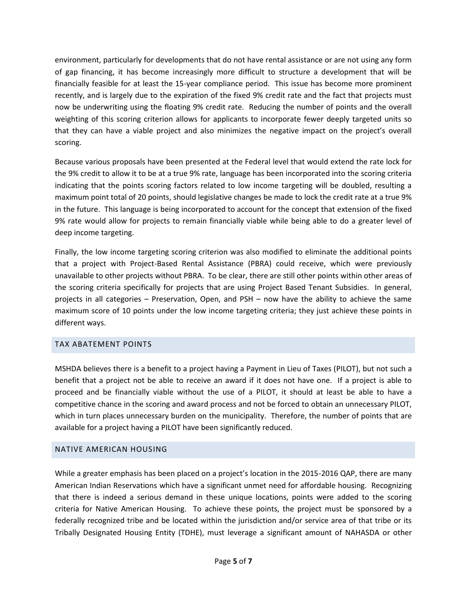environment, particularly for developments that do not have rental assistance or are not using any form of gap financing, it has become increasingly more difficult to structure a development that will be financially feasible for at least the 15-year compliance period. This issue has become more prominent recently, and is largely due to the expiration of the fixed 9% credit rate and the fact that projects must now be underwriting using the floating 9% credit rate. Reducing the number of points and the overall weighting of this scoring criterion allows for applicants to incorporate fewer deeply targeted units so that they can have a viable project and also minimizes the negative impact on the project's overall scoring.

Because various proposals have been presented at the Federal level that would extend the rate lock for the 9% credit to allow it to be at a true 9% rate, language has been incorporated into the scoring criteria indicating that the points scoring factors related to low income targeting will be doubled, resulting a maximum point total of 20 points, should legislative changes be made to lock the credit rate at a true 9% in the future. This language is being incorporated to account for the concept that extension of the fixed 9% rate would allow for projects to remain financially viable while being able to do a greater level of deep income targeting.

Finally, the low income targeting scoring criterion was also modified to eliminate the additional points that a project with Project-Based Rental Assistance (PBRA) could receive, which were previously unavailable to other projects without PBRA. To be clear, there are still other points within other areas of the scoring criteria specifically for projects that are using Project Based Tenant Subsidies. In general, projects in all categories – Preservation, Open, and PSH – now have the ability to achieve the same maximum score of 10 points under the low income targeting criteria; they just achieve these points in different ways.

## TAX ABATEMENT POINTS

MSHDA believes there is a benefit to a project having a Payment in Lieu of Taxes (PILOT), but not such a benefit that a project not be able to receive an award if it does not have one. If a project is able to proceed and be financially viable without the use of a PILOT, it should at least be able to have a competitive chance in the scoring and award process and not be forced to obtain an unnecessary PILOT, which in turn places unnecessary burden on the municipality. Therefore, the number of points that are available for a project having a PILOT have been significantly reduced.

## NATIVE AMERICAN HOUSING

While a greater emphasis has been placed on a project's location in the 2015-2016 QAP, there are many American Indian Reservations which have a significant unmet need for affordable housing. Recognizing that there is indeed a serious demand in these unique locations, points were added to the scoring criteria for Native American Housing. To achieve these points, the project must be sponsored by a federally recognized tribe and be located within the jurisdiction and/or service area of that tribe or its Tribally Designated Housing Entity (TDHE), must leverage a significant amount of NAHASDA or other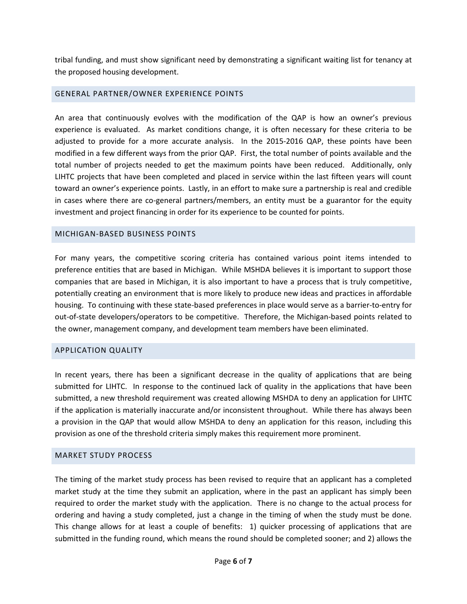tribal funding, and must show significant need by demonstrating a significant waiting list for tenancy at the proposed housing development.

#### GENERAL PARTNER/OWNER EXPERIENCE POINTS

An area that continuously evolves with the modification of the QAP is how an owner's previous experience is evaluated. As market conditions change, it is often necessary for these criteria to be adjusted to provide for a more accurate analysis. In the 2015-2016 QAP, these points have been modified in a few different ways from the prior QAP. First, the total number of points available and the total number of projects needed to get the maximum points have been reduced. Additionally, only LIHTC projects that have been completed and placed in service within the last fifteen years will count toward an owner's experience points. Lastly, in an effort to make sure a partnership is real and credible in cases where there are co-general partners/members, an entity must be a guarantor for the equity investment and project financing in order for its experience to be counted for points.

#### MICHIGAN-BASED BUSINESS POINTS

For many years, the competitive scoring criteria has contained various point items intended to preference entities that are based in Michigan. While MSHDA believes it is important to support those companies that are based in Michigan, it is also important to have a process that is truly competitive, potentially creating an environment that is more likely to produce new ideas and practices in affordable housing. To continuing with these state-based preferences in place would serve as a barrier-to-entry for out-of-state developers/operators to be competitive. Therefore, the Michigan-based points related to the owner, management company, and development team members have been eliminated.

#### APPLICATION QUALITY

In recent years, there has been a significant decrease in the quality of applications that are being submitted for LIHTC. In response to the continued lack of quality in the applications that have been submitted, a new threshold requirement was created allowing MSHDA to deny an application for LIHTC if the application is materially inaccurate and/or inconsistent throughout. While there has always been a provision in the QAP that would allow MSHDA to deny an application for this reason, including this provision as one of the threshold criteria simply makes this requirement more prominent.

#### MARKET STUDY PROCESS

The timing of the market study process has been revised to require that an applicant has a completed market study at the time they submit an application, where in the past an applicant has simply been required to order the market study with the application. There is no change to the actual process for ordering and having a study completed, just a change in the timing of when the study must be done. This change allows for at least a couple of benefits: 1) quicker processing of applications that are submitted in the funding round, which means the round should be completed sooner; and 2) allows the